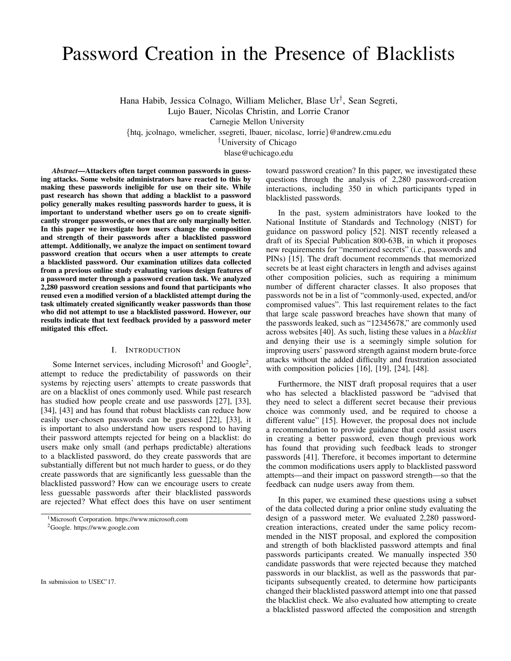# Password Creation in the Presence of Blacklists

Hana Habib, Jessica Colnago, William Melicher, Blase Ur† , Sean Segreti,

Lujo Bauer, Nicolas Christin, and Lorrie Cranor

Carnegie Mellon University

{htq, jcolnago, wmelicher, ssegreti, lbauer, nicolasc, lorrie}@andrew.cmu.edu

†University of Chicago

blase@uchicago.edu

*Abstract*—Attackers often target common passwords in guessing attacks. Some website administrators have reacted to this by making these passwords ineligible for use on their site. While past research has shown that adding a blacklist to a password policy generally makes resulting passwords harder to guess, it is important to understand whether users go on to create significantly stronger passwords, or ones that are only marginally better. In this paper we investigate how users change the composition and strength of their passwords after a blacklisted password attempt. Additionally, we analyze the impact on sentiment toward password creation that occurs when a user attempts to create a blacklisted password. Our examination utilizes data collected from a previous online study evaluating various design features of a password meter through a password creation task. We analyzed 2,280 password creation sessions and found that participants who reused even a modified version of a blacklisted attempt during the task ultimately created significantly weaker passwords than those who did not attempt to use a blacklisted password. However, our results indicate that text feedback provided by a password meter mitigated this effect.

## I. INTRODUCTION

Some Internet services, including Microsoft<sup>1</sup> and Google<sup>2</sup>, attempt to reduce the predictability of passwords on their systems by rejecting users' attempts to create passwords that are on a blacklist of ones commonly used. While past research has studied how people create and use passwords [27], [33], [34], [43] and has found that robust blacklists can reduce how easily user-chosen passwords can be guessed [22], [33], it is important to also understand how users respond to having their password attempts rejected for being on a blacklist: do users make only small (and perhaps predictable) alterations to a blacklisted password, do they create passwords that are substantially different but not much harder to guess, or do they create passwords that are significantly less guessable than the blacklisted password? How can we encourage users to create less guessable passwords after their blacklisted passwords are rejected? What effect does this have on user sentiment

In submission to USEC'17.

toward password creation? In this paper, we investigated these questions through the analysis of 2,280 password-creation interactions, including 350 in which participants typed in blacklisted passwords.

In the past, system administrators have looked to the National Institute of Standards and Technology (NIST) for guidance on password policy [52]. NIST recently released a draft of its Special Publication 800-63B, in which it proposes new requirements for "memorized secrets" (i.e., passwords and PINs) [15]. The draft document recommends that memorized secrets be at least eight characters in length and advises against other composition policies, such as requiring a minimum number of different character classes. It also proposes that passwords not be in a list of "commonly-used, expected, and/or compromised values". This last requirement relates to the fact that large scale password breaches have shown that many of the passwords leaked, such as "12345678," are commonly used across websites [40]. As such, listing these values in a *blacklist* and denying their use is a seemingly simple solution for improving users' password strength against modern brute-force attacks without the added difficulty and frustration associated with composition policies [16], [19], [24], [48].

Furthermore, the NIST draft proposal requires that a user who has selected a blacklisted password be "advised that they need to select a different secret because their previous choice was commonly used, and be required to choose a different value" [15]. However, the proposal does not include a recommendation to provide guidance that could assist users in creating a better password, even though previous work has found that providing such feedback leads to stronger passwords [41]. Therefore, it becomes important to determine the common modifications users apply to blacklisted password attempts—and their impact on password strength—so that the feedback can nudge users away from them.

In this paper, we examined these questions using a subset of the data collected during a prior online study evaluating the design of a password meter. We evaluated 2,280 passwordcreation interactions, created under the same policy recommended in the NIST proposal, and explored the composition and strength of both blacklisted password attempts and final passwords participants created. We manually inspected 350 candidate passwords that were rejected because they matched passwords in our blacklist, as well as the passwords that participants subsequently created, to determine how participants changed their blacklisted password attempt into one that passed the blacklist check. We also evaluated how attempting to create a blacklisted password affected the composition and strength

<sup>1</sup>Microsoft Corporation. https://www.microsoft.com

<sup>2</sup>Google. https://www.google.com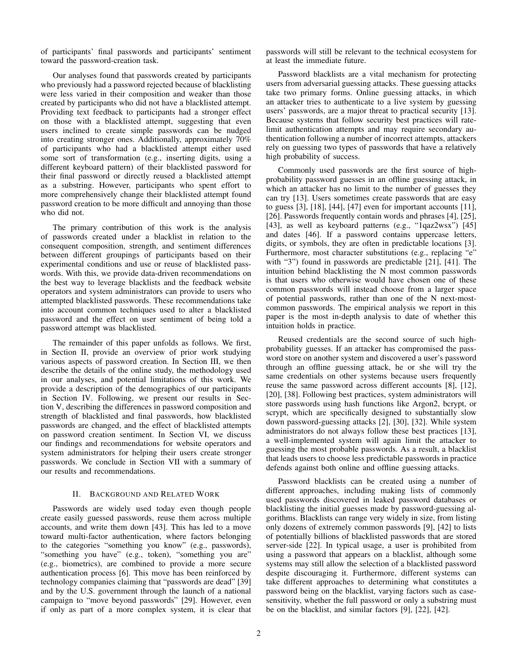of participants' final passwords and participants' sentiment toward the password-creation task.

Our analyses found that passwords created by participants who previously had a password rejected because of blacklisting were less varied in their composition and weaker than those created by participants who did not have a blacklisted attempt. Providing text feedback to participants had a stronger effect on those with a blacklisted attempt, suggesting that even users inclined to create simple passwords can be nudged into creating stronger ones. Additionally, approximately 70% of participants who had a blacklisted attempt either used some sort of transformation (e.g., inserting digits, using a different keyboard pattern) of their blacklisted password for their final password or directly reused a blacklisted attempt as a substring. However, participants who spent effort to more comprehensively change their blacklisted attempt found password creation to be more difficult and annoying than those who did not.

The primary contribution of this work is the analysis of passwords created under a blacklist in relation to the consequent composition, strength, and sentiment differences between different groupings of participants based on their experimental conditions and use or reuse of blacklisted passwords. With this, we provide data-driven recommendations on the best way to leverage blacklists and the feedback website operators and system administrators can provide to users who attempted blacklisted passwords. These recommendations take into account common techniques used to alter a blacklisted password and the effect on user sentiment of being told a password attempt was blacklisted.

The remainder of this paper unfolds as follows. We first, in Section II, provide an overview of prior work studying various aspects of password creation. In Section III, we then describe the details of the online study, the methodology used in our analyses, and potential limitations of this work. We provide a description of the demographics of our participants in Section IV. Following, we present our results in Section V, describing the differences in password composition and strength of blacklisted and final passwords, how blacklisted passwords are changed, and the effect of blacklisted attempts on password creation sentiment. In Section VI, we discuss our findings and recommendations for website operators and system administrators for helping their users create stronger passwords. We conclude in Section VII with a summary of our results and recommendations.

# II. BACKGROUND AND RELATED WORK

Passwords are widely used today even though people create easily guessed passwords, reuse them across multiple accounts, and write them down [43]. This has led to a move toward multi-factor authentication, where factors belonging to the categories "something you know" (e.g., passwords), "something you have" (e.g., token), "something you are" (e.g., biometrics), are combined to provide a more secure authentication process [6]. This move has been reinforced by technology companies claiming that "passwords are dead" [39] and by the U.S. government through the launch of a national campaign to "move beyond passwords" [29]. However, even if only as part of a more complex system, it is clear that passwords will still be relevant to the technical ecosystem for at least the immediate future.

Password blacklists are a vital mechanism for protecting users from adversarial guessing attacks. These guessing attacks take two primary forms. Online guessing attacks, in which an attacker tries to authenticate to a live system by guessing users' passwords, are a major threat to practical security [13]. Because systems that follow security best practices will ratelimit authentication attempts and may require secondary authentication following a number of incorrect attempts, attackers rely on guessing two types of passwords that have a relatively high probability of success.

Commonly used passwords are the first source of highprobability password guesses in an offline guessing attack, in which an attacker has no limit to the number of guesses they can try [13]. Users sometimes create passwords that are easy to guess [3], [18], [44], [47] even for important accounts [11], [26]. Passwords frequently contain words and phrases [4], [25], [43], as well as keyboard patterns (e.g., "1qaz2wsx") [45] and dates [46]. If a password contains uppercase letters, digits, or symbols, they are often in predictable locations [3]. Furthermore, most character substitutions (e.g., replacing "e" with "3") found in passwords are predictable [21], [41]. The intuition behind blacklisting the N most common passwords is that users who otherwise would have chosen one of these common passwords will instead choose from a larger space of potential passwords, rather than one of the N next-mostcommon passwords. The empirical analysis we report in this paper is the most in-depth analysis to date of whether this intuition holds in practice.

Reused credentials are the second source of such highprobability guesses. If an attacker has compromised the password store on another system and discovered a user's password through an offline guessing attack, he or she will try the same credentials on other systems because users frequently reuse the same password across different accounts [8], [12], [20], [38]. Following best practices, system administrators will store passwords using hash functions like Argon2, bcrypt, or scrypt, which are specifically designed to substantially slow down password-guessing attacks [2], [30], [32]. While system administrators do not always follow these best practices [13], a well-implemented system will again limit the attacker to guessing the most probable passwords. As a result, a blacklist that leads users to choose less predictable passwords in practice defends against both online and offline guessing attacks.

Password blacklists can be created using a number of different approaches, including making lists of commonly used passwords discovered in leaked password databases or blacklisting the initial guesses made by password-guessing algorithms. Blacklists can range very widely in size, from listing only dozens of extremely common passwords [9], [42] to lists of potentially billions of blacklisted passwords that are stored server-side [22]. In typical usage, a user is prohibited from using a password that appears on a blacklist, although some systems may still allow the selection of a blacklisted password despite discouraging it. Furthermore, different systems can take different approaches to determining what constitutes a password being on the blacklist, varying factors such as casesensitivity, whether the full password or only a substring must be on the blacklist, and similar factors [9], [22], [42].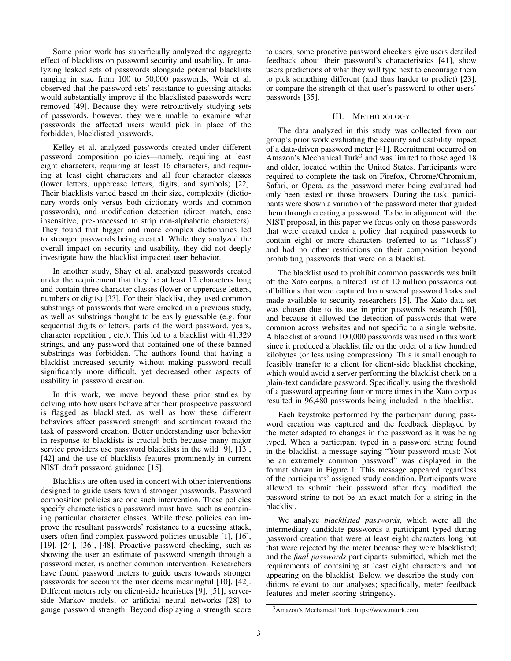Some prior work has superficially analyzed the aggregate effect of blacklists on password security and usability. In analyzing leaked sets of passwords alongside potential blacklists ranging in size from 100 to 50,000 passwords, Weir et al. observed that the password sets' resistance to guessing attacks would substantially improve if the blacklisted passwords were removed [49]. Because they were retroactively studying sets of passwords, however, they were unable to examine what passwords the affected users would pick in place of the forbidden, blacklisted passwords.

Kelley et al. analyzed passwords created under different password composition policies—namely, requiring at least eight characters, requiring at least 16 characters, and requiring at least eight characters and all four character classes (lower letters, uppercase letters, digits, and symbols) [22]. Their blacklists varied based on their size, complexity (dictionary words only versus both dictionary words and common passwords), and modification detection (direct match, case insensitive, pre-processed to strip non-alphabetic characters). They found that bigger and more complex dictionaries led to stronger passwords being created. While they analyzed the overall impact on security and usability, they did not deeply investigate how the blacklist impacted user behavior.

In another study, Shay et al. analyzed passwords created under the requirement that they be at least 12 characters long and contain three character classes (lower or uppercase letters, numbers or digits) [33]. For their blacklist, they used common substrings of passwords that were cracked in a previous study, as well as substrings thought to be easily guessable (e.g. four sequential digits or letters, parts of the word password, years, character repetition , etc.). This led to a blacklist with 41,329 strings, and any password that contained one of these banned substrings was forbidden. The authors found that having a blacklist increased security without making password recall significantly more difficult, yet decreased other aspects of usability in password creation.

In this work, we move beyond these prior studies by delving into how users behave after their prospective password is flagged as blacklisted, as well as how these different behaviors affect password strength and sentiment toward the task of password creation. Better understanding user behavior in response to blacklists is crucial both because many major service providers use password blacklists in the wild [9], [13], [42] and the use of blacklists features prominently in current NIST draft password guidance [15].

Blacklists are often used in concert with other interventions designed to guide users toward stronger passwords. Password composition policies are one such intervention. These policies specify characteristics a password must have, such as containing particular character classes. While these policies can improve the resultant passwords' resistance to a guessing attack, users often find complex password policies unusable [1], [16], [19], [24], [36], [48]. Proactive password checking, such as showing the user an estimate of password strength through a password meter, is another common intervention. Researchers have found password meters to guide users towards stronger passwords for accounts the user deems meaningful [10], [42]. Different meters rely on client-side heuristics [9], [51], serverside Markov models, or artificial neural networks [28] to gauge password strength. Beyond displaying a strength score to users, some proactive password checkers give users detailed feedback about their password's characteristics [41], show users predictions of what they will type next to encourage them to pick something different (and thus harder to predict) [23], or compare the strength of that user's password to other users' passwords [35].

## III. METHODOLOGY

The data analyzed in this study was collected from our group's prior work evaluating the security and usability impact of a data-driven password meter [41]. Recruitment occurred on Amazon's Mechanical Turk<sup>3</sup> and was limited to those aged  $18$ and older, located within the United States. Participants were required to complete the task on Firefox, Chrome/Chromium, Safari, or Opera, as the password meter being evaluated had only been tested on those browsers. During the task, participants were shown a variation of the password meter that guided them through creating a password. To be in alignment with the NIST proposal, in this paper we focus only on those passwords that were created under a policy that required passwords to contain eight or more characters (referred to as "1class8") and had no other restrictions on their composition beyond prohibiting passwords that were on a blacklist.

The blacklist used to prohibit common passwords was built off the Xato corpus, a filtered list of 10 million passwords out of billions that were captured from several password leaks and made available to security researchers [5]. The Xato data set was chosen due to its use in prior passwords research [50], and because it allowed the detection of passwords that were common across websites and not specific to a single website. A blacklist of around 100,000 passwords was used in this work since it produced a blacklist file on the order of a few hundred kilobytes (or less using compression). This is small enough to feasibly transfer to a client for client-side blacklist checking, which would avoid a server performing the blacklist check on a plain-text candidate password. Specifically, using the threshold of a password appearing four or more times in the Xato corpus resulted in 96,480 passwords being included in the blacklist.

Each keystroke performed by the participant during password creation was captured and the feedback displayed by the meter adapted to changes in the password as it was being typed. When a participant typed in a password string found in the blacklist, a message saying "Your password must: Not be an extremely common password" was displayed in the format shown in Figure 1. This message appeared regardless of the participants' assigned study condition. Participants were allowed to submit their password after they modified the password string to not be an exact match for a string in the blacklist.

We analyze *blacklisted passwords*, which were all the intermediary candidate passwords a participant typed during password creation that were at least eight characters long but that were rejected by the meter because they were blacklisted; and the *final passwords* participants submitted, which met the requirements of containing at least eight characters and not appearing on the blacklist. Below, we describe the study conditions relevant to our analyses; specifically, meter feedback features and meter scoring stringency.

<sup>3</sup>Amazon's Mechanical Turk. https://www.mturk.com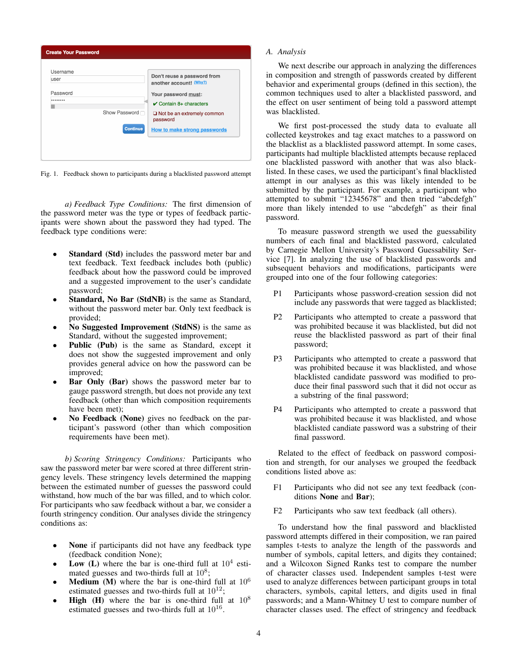| Username<br>user | Don't reuse a password from<br>another account! (Why?)    |
|------------------|-----------------------------------------------------------|
| Password         | Your password must:<br>$\checkmark$ Contain 8+ characters |
| Show Password    | $\Box$ Not be an extremely common<br>password             |
| <b>Continue</b>  | <b>How to make strong passwords</b>                       |

Fig. 1. Feedback shown to participants during a blacklisted password attempt

*a) Feedback Type Conditions:* The first dimension of the password meter was the type or types of feedback participants were shown about the password they had typed. The feedback type conditions were:

- Standard (Std) includes the password meter bar and text feedback. Text feedback includes both (public) feedback about how the password could be improved and a suggested improvement to the user's candidate password;
- Standard, No Bar (StdNB) is the same as Standard, without the password meter bar. Only text feedback is provided;
- No Suggested Improvement (StdNS) is the same as Standard, without the suggested improvement;
- Public (Pub) is the same as Standard, except it does not show the suggested improvement and only provides general advice on how the password can be improved;
- Bar Only (Bar) shows the password meter bar to gauge password strength, but does not provide any text feedback (other than which composition requirements have been met);
- No Feedback (None) gives no feedback on the participant's password (other than which composition requirements have been met).

*b) Scoring Stringency Conditions:* Participants who saw the password meter bar were scored at three different stringency levels. These stringency levels determined the mapping between the estimated number of guesses the password could withstand, how much of the bar was filled, and to which color. For participants who saw feedback without a bar, we consider a fourth stringency condition. Our analyses divide the stringency conditions as:

- None if participants did not have any feedback type (feedback condition None);
- Low (L) where the bar is one-third full at  $10^4$  estimated guesses and two-thirds full at  $10^8$ ;
- **Medium** (M) where the bar is one-third full at  $10^6$ estimated guesses and two-thirds full at  $10^{12}$ ;
- **High** (H) where the bar is one-third full at  $10^8$ estimated guesses and two-thirds full at  $10^{16}$ .

# *A. Analysis*

We next describe our approach in analyzing the differences in composition and strength of passwords created by different behavior and experimental groups (defined in this section), the common techniques used to alter a blacklisted password, and the effect on user sentiment of being told a password attempt was blacklisted.

We first post-processed the study data to evaluate all collected keystrokes and tag exact matches to a password on the blacklist as a blacklisted password attempt. In some cases, participants had multiple blacklisted attempts because replaced one blacklisted password with another that was also blacklisted. In these cases, we used the participant's final blacklisted attempt in our analyses as this was likely intended to be submitted by the participant. For example, a participant who attempted to submit "12345678" and then tried "abcdefgh" more than likely intended to use "abcdefgh" as their final password.

To measure password strength we used the guessability numbers of each final and blacklisted password, calculated by Carnegie Mellon University's Password Guessability Service [7]. In analyzing the use of blacklisted passwords and subsequent behaviors and modifications, participants were grouped into one of the four following categories:

- P1 Participants whose password-creation session did not include any passwords that were tagged as blacklisted;
- P2 Participants who attempted to create a password that was prohibited because it was blacklisted, but did not reuse the blacklisted password as part of their final password;
- P3 Participants who attempted to create a password that was prohibited because it was blacklisted, and whose blacklisted candidate password was modified to produce their final password such that it did not occur as a substring of the final password;
- P4 Participants who attempted to create a password that was prohibited because it was blacklisted, and whose blacklisted candiate password was a substring of their final password.

Related to the effect of feedback on password composition and strength, for our analyses we grouped the feedback conditions listed above as:

- F1 Participants who did not see any text feedback (conditions None and Bar);
- F2 Participants who saw text feedback (all others).

To understand how the final password and blacklisted password attempts differed in their composition, we ran paired samples t-tests to analyze the length of the passwords and number of symbols, capital letters, and digits they contained; and a Wilcoxon Signed Ranks test to compare the number of character classes used. Independent samples t-test were used to analyze differences between participant groups in total characters, symbols, capital letters, and digits used in final passwords; and a Mann-Whitney U test to compare number of character classes used. The effect of stringency and feedback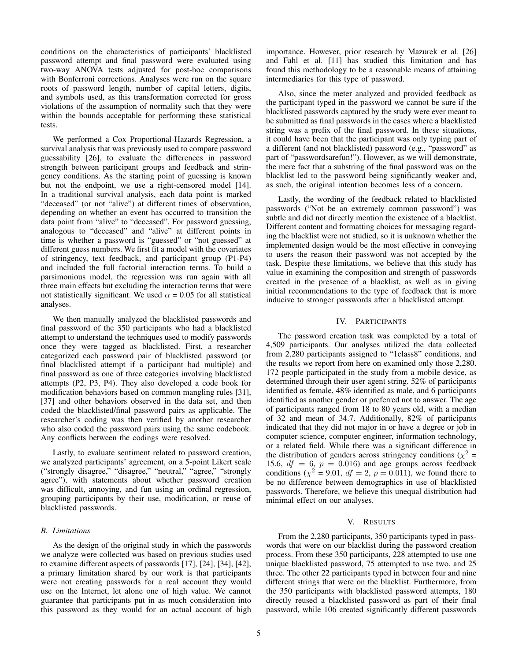conditions on the characteristics of participants' blacklisted password attempt and final password were evaluated using two-way ANOVA tests adjusted for post-hoc comparisons with Bonferroni corrections. Analyses were run on the square roots of password length, number of capital letters, digits, and symbols used, as this transformation corrected for gross violations of the assumption of normality such that they were within the bounds acceptable for performing these statistical tests.

We performed a Cox Proportional-Hazards Regression, a survival analysis that was previously used to compare password guessability [26], to evaluate the differences in password strength between participant groups and feedback and stringency conditions. As the starting point of guessing is known but not the endpoint, we use a right-censored model [14]. In a traditional survival analysis, each data point is marked "deceased" (or not "alive") at different times of observation, depending on whether an event has occurred to transition the data point from "alive" to "deceased". For password guessing, analogous to "deceased" and "alive" at different points in time is whether a password is "guessed" or "not guessed" at different guess numbers. We first fit a model with the covariates of stringency, text feedback, and participant group (P1-P4) and included the full factorial interaction terms. To build a parsimonious model, the regression was run again with all three main effects but excluding the interaction terms that were not statistically significant. We used  $\alpha = 0.05$  for all statistical analyses.

We then manually analyzed the blacklisted passwords and final password of the 350 participants who had a blacklisted attempt to understand the techniques used to modify passwords once they were tagged as blacklisted. First, a researcher categorized each password pair of blacklisted password (or final blacklisted attempt if a participant had multiple) and final password as one of three categories involving blacklisted attempts (P2, P3, P4). They also developed a code book for modification behaviors based on common mangling rules [31], [37] and other behaviors observed in the data set, and then coded the blacklisted/final password pairs as applicable. The researcher's coding was then verified by another researcher who also coded the password pairs using the same codebook. Any conflicts between the codings were resolved.

Lastly, to evaluate sentiment related to password creation, we analyzed participants' agreement, on a 5-point Likert scale ("strongly disagree," "disagree," "neutral," "agree," "strongly agree"), with statements about whether password creation was difficult, annoying, and fun using an ordinal regression, grouping participants by their use, modification, or reuse of blacklisted passwords.

## *B. Limitations*

As the design of the original study in which the passwords we analyze were collected was based on previous studies used to examine different aspects of passwords [17], [24], [34], [42], a primary limitation shared by our work is that participants were not creating passwords for a real account they would use on the Internet, let alone one of high value. We cannot guarantee that participants put in as much consideration into this password as they would for an actual account of high importance. However, prior research by Mazurek et al. [26] and Fahl et al. [11] has studied this limitation and has found this methodology to be a reasonable means of attaining intermediaries for this type of password.

Also, since the meter analyzed and provided feedback as the participant typed in the password we cannot be sure if the blacklisted passwords captured by the study were ever meant to be submitted as final passwords in the cases where a blacklisted string was a prefix of the final password. In these situations, it could have been that the participant was only typing part of a different (and not blacklisted) password (e.g., "password" as part of "passwordsarefun!"). However, as we will demonstrate, the mere fact that a substring of the final password was on the blacklist led to the password being significantly weaker and, as such, the original intention becomes less of a concern.

Lastly, the wording of the feedback related to blacklisted passwords ("Not be an extremely common password") was subtle and did not directly mention the existence of a blacklist. Different content and formatting choices for messaging regarding the blacklist were not studied, so it is unknown whether the implemented design would be the most effective in conveying to users the reason their password was not accepted by the task. Despite these limitations, we believe that this study has value in examining the composition and strength of passwords created in the presence of a blacklist, as well as in giving initial recommendations to the type of feedback that is more inducive to stronger passwords after a blacklisted attempt.

## IV. PARTICIPANTS

The password creation task was completed by a total of 4,509 participants. Our analyses utilized the data collected from 2,280 participants assigned to "1class8" conditions, and the results we report from here on examined only those 2,280. 172 people participated in the study from a mobile device, as determined through their user agent string. 52% of participants identified as female, 48% identified as male, and 6 participants identified as another gender or preferred not to answer. The age of participants ranged from 18 to 80 years old, with a median of 32 and mean of 34.7. Additionally, 82% of participants indicated that they did not major in or have a degree or job in computer science, computer engineer, information technology, or a related field. While there was a significant difference in the distribution of genders across stringency conditions ( $\chi^2$  = 15.6,  $df = 6$ ,  $p = 0.016$ ) and age groups across feedback conditions ( $\chi^2 = 9.01$ ,  $df = 2$ ,  $p = 0.011$ ), we found there to be no difference between demographics in use of blacklisted passwords. Therefore, we believe this unequal distribution had minimal effect on our analyses.

## V. RESULTS

From the 2,280 participants, 350 participants typed in passwords that were on our blacklist during the password creation process. From these 350 participants, 228 attempted to use one unique blacklisted password, 75 attempted to use two, and 25 three. The other 22 participants typed in between four and nine different strings that were on the blacklist. Furthermore, from the 350 participants with blacklisted password attempts, 180 directly reused a blacklisted password as part of their final password, while 106 created significantly different passwords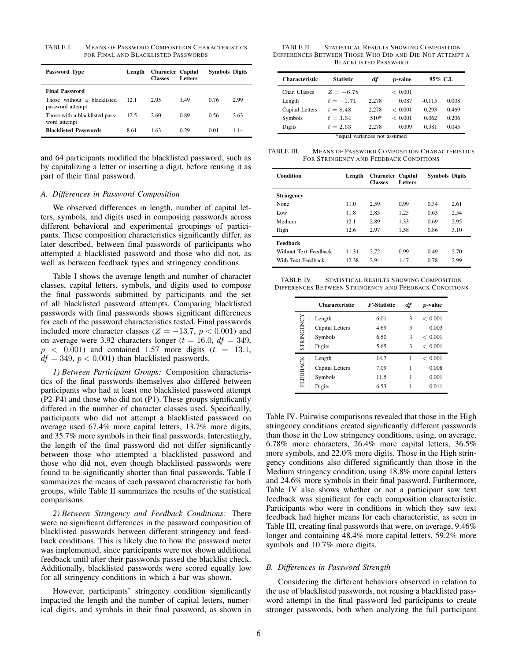TABLE I. MEANS OF PASSWORD COMPOSITION CHARACTERISTICS FOR FINAL AND BLACKLISTED PASSWORDS

| Password Type                                   | Length | <b>Character Capital</b><br><b>Classes</b> | <b>Letters</b> | <b>Symbols Digits</b> |      |
|-------------------------------------------------|--------|--------------------------------------------|----------------|-----------------------|------|
| <b>Final Password</b>                           |        |                                            |                |                       |      |
| Those without a blacklisted<br>password attempt | 12.1   | 2.95                                       | 1.49           | 0.76                  | 2.99 |
| Those with a blacklisted pass-<br>word attempt  | 12.5   | 2.60                                       | 0.89           | 0.56                  | 2.63 |
| <b>Blacklisted Passwords</b>                    | 8.61   | 1.63                                       | 0.29           | 0.01                  | 1.14 |

and 64 participants modified the blacklisted password, such as by capitalizing a letter or inserting a digit, before reusing it as part of their final password.

## *A. Differences in Password Composition*

We observed differences in length, number of capital letters, symbols, and digits used in composing passwords across different behavioral and experimental groupings of participants. These composition characteristics significantly differ, as later described, between final passwords of participants who attempted a blacklisted password and those who did not, as well as between feedback types and stringency conditions.

Table I shows the average length and number of character classes, capital letters, symbols, and digits used to compose the final passwords submitted by participants and the set of all blacklisted password attempts. Comparing blacklisted passwords with final passwords shows significant differences for each of the password characteristics tested. Final passwords included more character classes ( $Z = -13.7$ ,  $p < 0.001$ ) and on average were 3.92 characters longer ( $t = 16.0$ ,  $df = 349$ ,  $p \leq 0.001$ ) and contained 1.57 more digits  $(t = 13.1,$  $df = 349$ ,  $p < 0.001$ ) than blacklisted passwords.

*1) Between Participant Groups:* Composition characteristics of the final passwords themselves also differed between participants who had at least one blacklisted password attempt (P2-P4) and those who did not (P1). These groups significantly differed in the number of character classes used. Specifically, participants who did not attempt a blacklisted password on average used 67.4% more capital letters, 13.7% more digits, and 35.7% more symbols in their final passwords. Interestingly, the length of the final password did not differ significantly between those who attempted a blacklisted password and those who did not, even though blacklisted passwords were found to be significantly shorter than final passwords. Table I summarizes the means of each password characteristic for both groups, while Table II summarizes the results of the statistical comparisons.

*2) Between Stringency and Feedback Conditions:* There were no significant differences in the password composition of blacklisted passwords between different stringency and feedback conditions. This is likely due to how the password meter was implemented, since participants were not shown additional feedback until after their passwords passed the blacklist check. Additionally, blacklisted passwords were scored equally low for all stringency conditions in which a bar was shown.

However, participants' stringency condition significantly impacted the length and the number of capital letters, numerical digits, and symbols in their final password, as shown in

TABLE II. STATISTICAL RESULTS SHOWING COMPOSITION DIFFERENCES BETWEEN THOSE WHO DID AND DID NOT ATTEMPT A BLACKLISTED PASSWORD

| <b>Characteristic</b>        | Statistic   | df    | $p$ -value | 95% C.L  |       |
|------------------------------|-------------|-------|------------|----------|-------|
| Char. Classes                | $Z = -6.78$ |       | < 0.001    |          |       |
| Length                       | $t = -1.71$ | 2.278 | 0.087      | $-0.115$ | 0.008 |
| Capital Letters              | $t = 8.48$  | 2.278 | < 0.001    | 0.293    | 0.469 |
| Symbols                      | $t = 3.64$  | 510*  | < 0.001    | 0.062    | 0.206 |
| Digits                       | $t = 2.63$  | 2.278 | 0.009      | 0.381    | 0.045 |
| *equal variances not assumed |             |       |            |          |       |

| TABLE III. | <b>MEANS OF PASSWORD COMPOSITION CHARACTERISTICS</b> |
|------------|------------------------------------------------------|
|            | FOR STRINGENCY AND FEEDBACK CONDITIONS               |

| Condition             | Length | <b>Character Capital</b><br><b>Classes</b> | <b>Letters</b> | <b>Symbols Digits</b> |      |
|-----------------------|--------|--------------------------------------------|----------------|-----------------------|------|
| <b>Stringency</b>     |        |                                            |                |                       |      |
| None.                 | 11.0   | 2.59                                       | 0.99           | 0.34                  | 2.61 |
| Low                   | 11.8   | 2.85                                       | 1.25           | 0.63                  | 2.54 |
| Medium                | 12.1   | 2.89                                       | 1.33           | 0.69                  | 2.95 |
| High                  | 12.6   | 2.97                                       | 1.58           | 0.86                  | 3.10 |
| Feedback              |        |                                            |                |                       |      |
| Without Text Feedback | 11.31  | 2.72                                       | 0.99           | 0.49                  | 2.70 |
| With Text Feedback    | 12.38  | 2.94                                       | 1.47           | 0.78                  | 2.99 |

TABLE IV. STATISTICAL RESULTS SHOWING COMPOSITION DIFFERENCES BETWEEN STRINGENCY AND FEEDBACK CONDITIONS

|                   | <b>Characteristic</b> | <b>F</b> -Statistic | df | $p$ -value  |
|-------------------|-----------------------|---------------------|----|-------------|
|                   | Length                | 6.01                | 3  | < 0.001     |
|                   | Capital Letters       | 4.69                | 3  | 0.003       |
|                   | Symbols               | 6.50                | 3  | ${}< 0.001$ |
| <b>STRINGENCY</b> | Digits                | 5.65                | 3  | < 0.001     |
|                   | Length                | 14.7                |    | ${}< 0.001$ |
|                   | Capital Letters       | 7.09                | 1  | 0.008       |
| FEEDBACK          | Symbols               | 11.5                |    | 0.001       |
|                   | Digits                | 6.53                | 1  | 0.011       |

Table IV. Pairwise comparisons revealed that those in the High stringency conditions created significantly different passwords than those in the Low stringency conditions, using, on average, 6.78% more characters, 26.4% more capital letters, 36.5% more symbols, and 22.0% more digits. Those in the High stringency conditions also differed significantly than those in the Medium stringency condition, using 18.8% more capital letters and 24.6% more symbols in their final password. Furthermore, Table IV also shows whether or not a participant saw text feedback was significant for each composition characteristic. Participants who were in conditions in which they saw text feedback had higher means for each characteristic, as seen in Table III, creating final passwords that were, on average, 9.46% longer and containing 48.4% more capital letters, 59.2% more symbols and 10.7% more digits.

#### *B. Differences in Password Strength*

Considering the different behaviors observed in relation to the use of blacklisted passwords, not reusing a blacklisted password attempt in the final password led participants to create stronger passwords, both when analyzing the full participant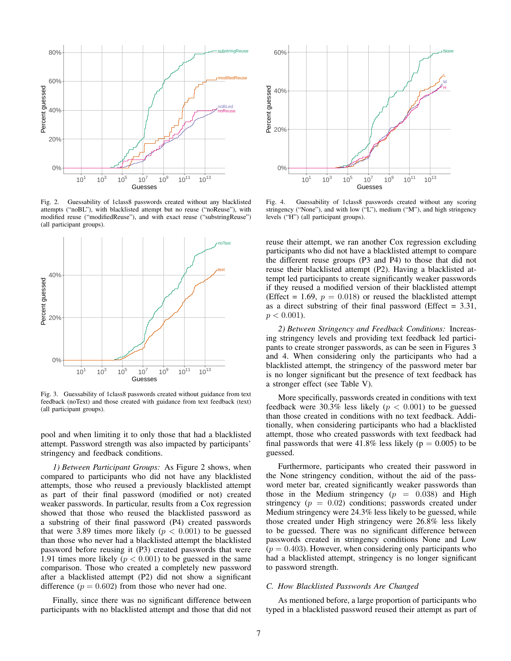

Fig. 2. Guessability of 1class8 passwords created without any blacklisted attempts ("noBL"), with blacklisted attempt but no reuse ("noReuse"), with modified reuse ("modifiedReuse"), and with exact reuse ("substringReuse") (all participant groups).



Fig. 3. Guessability of 1class8 passwords created without guidance from text feedback (noText) and those created with guidance from text feedback (text) (all participant groups).

pool and when limiting it to only those that had a blacklisted attempt. Password strength was also impacted by participants' stringency and feedback conditions.

*1) Between Participant Groups:* As Figure 2 shows, when compared to participants who did not have any blacklisted attempts, those who reused a previously blacklisted attempt as part of their final password (modified or not) created weaker passwords. In particular, results from a Cox regression showed that those who reused the blacklisted password as a substring of their final password (P4) created passwords that were 3.89 times more likely ( $p < 0.001$ ) to be guessed than those who never had a blacklisted attempt the blacklisted password before reusing it (P3) created passwords that were 1.91 times more likely ( $p < 0.001$ ) to be guessed in the same comparison. Those who created a completely new password after a blacklisted attempt (P2) did not show a significant difference  $(p = 0.602)$  from those who never had one.

Finally, since there was no significant difference between participants with no blacklisted attempt and those that did not



Fig. 4. Guessability of 1class8 passwords created without any scoring stringency ("None"), and with low ("L"), medium ("M"), and high stringency levels ("H") (all participant groups).

reuse their attempt, we ran another Cox regression excluding participants who did not have a blacklisted attempt to compare the different reuse groups (P3 and P4) to those that did not reuse their blacklisted attempt (P2). Having a blacklisted attempt led participants to create significantly weaker passwords if they reused a modified version of their blacklisted attempt (Effect = 1.69,  $p = 0.018$ ) or reused the blacklisted attempt as a direct substring of their final password (Effect  $= 3.31$ ,  $p < 0.001$ ).

*2) Between Stringency and Feedback Conditions:* Increasing stringency levels and providing text feedback led participants to create stronger passwords, as can be seen in Figures 3 and 4. When considering only the participants who had a blacklisted attempt, the stringency of the password meter bar is no longer significant but the presence of text feedback has a stronger effect (see Table V).

More specifically, passwords created in conditions with text feedback were 30.3% less likely ( $p < 0.001$ ) to be guessed than those created in conditions with no text feedback. Additionally, when considering participants who had a blacklisted attempt, those who created passwords with text feedback had final passwords that were 41.8% less likely ( $p = 0.005$ ) to be guessed.

Furthermore, participants who created their password in the None stringency condition, without the aid of the password meter bar, created significantly weaker passwords than those in the Medium stringency  $(p = 0.038)$  and High stringency  $(p = 0.02)$  conditions; passwords created under Medium stringency were 24.3% less likely to be guessed, while those created under High stringency were 26.8% less likely to be guessed. There was no significant difference between passwords created in stringency conditions None and Low  $(p = 0.403)$ . However, when considering only participants who had a blacklisted attempt, stringency is no longer significant to password strength.

# *C. How Blacklisted Passwords Are Changed*

As mentioned before, a large proportion of participants who typed in a blacklisted password reused their attempt as part of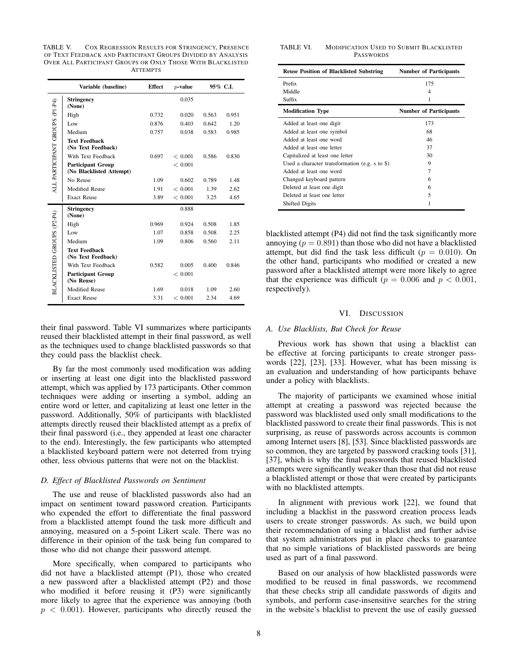TABLE V. COX REGRESSION RESULTS FOR STRINGENCY, PRESENCE OF TEXT FEEDBACK AND PARTICIPANT GROUPS DIVIDED BY ANALYSIS OVER ALL PARTICIPANT GROUPS OR ONLY THOSE WITH BLACKLISTED **ATTEMPTS** 

|                                | Variable (baseline)                                  | <b>Effect</b> | $p$ -value  |       | 95% C.I. |
|--------------------------------|------------------------------------------------------|---------------|-------------|-------|----------|
|                                | <b>Stringency</b><br>(None)                          |               | 0.035       |       |          |
|                                | High                                                 | 0.732         | 0.020       | 0.563 | 0.951    |
|                                | Low                                                  | 0.876         | 0.403       | 0.642 | 1.20     |
|                                | Medium                                               | 0.757         | 0.038       | 0.583 | 0.985    |
| ALL PARTICIPANT GROUPS (P1-P4) | <b>Text Feedback</b><br>(No Text Feedback)           |               |             |       |          |
|                                | With Text Feedback                                   | 0.697         | < 0.001     | 0.586 | 0.830    |
|                                | <b>Participant Group</b><br>(No Blacklisted Attempt) |               | ${}< 0.001$ |       |          |
|                                | No Reuse                                             | 1.09          | 0.602       | 0.789 | 1.48     |
|                                | <b>Modified Reuse</b>                                | 1.91          | ${}< 0.001$ | 1.39  | 2.62     |
|                                | <b>Exact Reuse</b>                                   | 3.89          | ${}< 0.001$ | 3.25  | 4.65     |
|                                | <b>Stringency</b><br>(None)                          |               | 0.888       |       |          |
|                                | High                                                 | 0.969         | 0.924       | 0.508 | 1.85     |
|                                | Low                                                  | 1.07          | 0.858       | 0.508 | 2.25     |
|                                | Medium                                               | 1.09          | 0.806       | 0.560 | 2.11     |
|                                | <b>Text Feedback</b><br>(No Text Feedback)           |               |             |       |          |
|                                | With Text Feedback                                   | 0.582         | 0.005       | 0.400 | 0.846    |
| BLACKLISTED GROUPS (P2-P4)     | <b>Participant Group</b><br>(No Reuse)               |               | ${}< 0.001$ |       |          |
|                                | <b>Modified Reuse</b>                                | 1.69          | 0.018       | 1.09  | 2.60     |
|                                | <b>Exact Reuse</b>                                   | 3.31          | ${}< 0.001$ | 2.34  | 4.69     |

their final password. Table VI summarizes where participants reused their blacklisted attempt in their final password, as well as the techniques used to change blacklisted passwords so that they could pass the blacklist check.

By far the most commonly used modification was adding or inserting at least one digit into the blacklisted password attempt, which was applied by 173 participants. Other common techniques were adding or inserting a symbol, adding an entire word or letter, and capitalizing at least one letter in the password. Additionally, 50% of participants with blacklisted attempts directly reused their blacklisted attempt as a prefix of their final password (i.e., they appended at least one character to the end). Interestingly, the few participants who attempted a blacklisted keyboard pattern were not deterred from trying other, less obvious patterns that were not on the blacklist.

## *D. Effect of Blacklisted Passwords on Sentiment*

The use and reuse of blacklisted passwords also had an impact on sentiment toward password creation. Participants who expended the effort to differentiate the final password from a blacklisted attempt found the task more difficult and annoying, measured on a 5-point Likert scale. There was no difference in their opinion of the task being fun compared to those who did not change their password attempt.

More specifically, when compared to participants who did not have a blacklisted attempt (P1), those who created a new password after a blacklisted attempt (P2) and those who modified it before reusing it (P3) were significantly more likely to agree that the experience was annoying (both  $p < 0.001$ ). However, participants who directly reused the

#### TABLE VI. MODIFICATION USED TO SUBMIT BLACKLISTED PASSWORDS

| <b>Reuse Position of Blacklisted Substring</b>     | <b>Number of Participants</b> |
|----------------------------------------------------|-------------------------------|
| Prefix                                             | 175                           |
| Middle                                             | 4                             |
| Suffix                                             |                               |
| <b>Modification Type</b>                           | <b>Number of Participants</b> |
| Added at least one digit                           | 173                           |
| Added at least one symbol                          | 68                            |
| Added at least one word                            | 46                            |
| Added at least one letter                          | 37                            |
| Capitalized at least one letter                    | 30                            |
| Used a character transformation (e.g. $s$ to $\$ ) | 9                             |
| Added at least one word                            | $\overline{7}$                |
| Changed keyboard pattern                           | 6                             |
| Deleted at least one digit                         | 6                             |
| Deleted at least one letter                        | 5                             |
| <b>Shifted Digits</b>                              |                               |

blacklisted attempt (P4) did not find the task significantly more annoying  $(p = 0.891)$  than those who did not have a blacklisted attempt, but did find the task less difficult ( $p = 0.010$ ). On the other hand, participants who modified or created a new password after a blacklisted attempt were more likely to agree that the experience was difficult ( $p = 0.006$  and  $p < 0.001$ , respectively).

### VI. DISCUSSION

## *A. Use Blacklists, But Check for Reuse*

Previous work has shown that using a blacklist can be effective at forcing participants to create stronger passwords [22], [23], [33]. However, what has been missing is an evaluation and understanding of how participants behave under a policy with blacklists.

The majority of participants we examined whose initial attempt at creating a password was rejected because the password was blacklisted used only small modifications to the blacklisted password to create their final passwords. This is not surprising, as reuse of passwords across accounts is common among Internet users [8], [53]. Since blacklisted passwords are so common, they are targeted by password cracking tools [31], [37], which is why the final passwords that reused blacklisted attempts were significantly weaker than those that did not reuse a blacklisted attempt or those that were created by participants with no blacklisted attempts.

In alignment with previous work [22], we found that including a blacklist in the password creation process leads users to create stronger passwords. As such, we build upon their recommendation of using a blacklist and further advise that system administrators put in place checks to guarantee that no simple variations of blacklisted passwords are being used as part of a final password.

Based on our analysis of how blacklisted passwords were modified to be reused in final passwords, we recommend that these checks strip all candidate passwords of digits and symbols, and perform case-insensitive searches for the string in the website's blacklist to prevent the use of easily guessed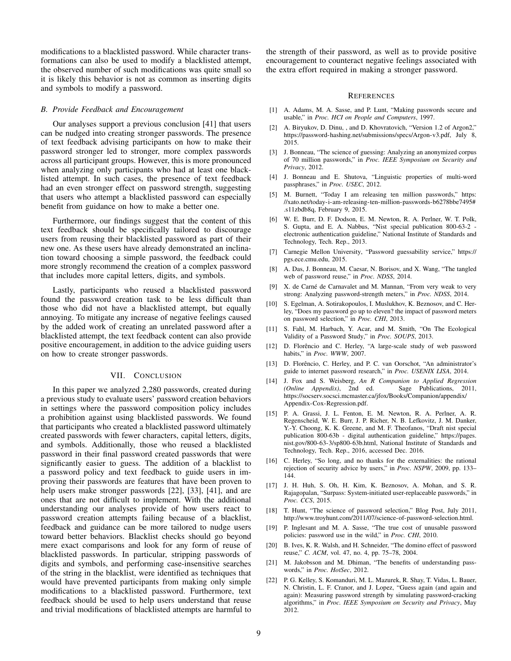modifications to a blacklisted password. While character transformations can also be used to modify a blacklisted attempt, the observed number of such modifications was quite small so it is likely this behavior is not as common as inserting digits and symbols to modify a password.

## *B. Provide Feedback and Encouragement*

Our analyses support a previous conclusion [41] that users can be nudged into creating stronger passwords. The presence of text feedback advising participants on how to make their password stronger led to stronger, more complex passwords across all participant groups. However, this is more pronounced when analyzing only participants who had at least one blacklisted attempt. In such cases, the presence of text feedback had an even stronger effect on password strength, suggesting that users who attempt a blacklisted password can especially benefit from guidance on how to make a better one.

Furthermore, our findings suggest that the content of this text feedback should be specifically tailored to discourage users from reusing their blacklisted password as part of their new one. As these users have already demonstrated an inclination toward choosing a simple password, the feedback could more strongly recommend the creation of a complex password that includes more capital letters, digits, and symbols.

Lastly, participants who reused a blacklisted password found the password creation task to be less difficult than those who did not have a blacklisted attempt, but equally annoying. To mitigate any increase of negative feelings caused by the added work of creating an unrelated password after a blacklisted attempt, the text feedback content can also provide positive encouragement, in addition to the advice guiding users on how to create stronger passwords.

## VII. CONCLUSION

In this paper we analyzed 2,280 passwords, created during a previous study to evaluate users' password creation behaviors in settings where the password composition policy includes a prohibition against using blacklisted passwords. We found that participants who created a blacklisted password ultimately created passwords with fewer characters, capital letters, digits, and symbols. Additionally, those who reused a blacklisted password in their final password created passwords that were significantly easier to guess. The addition of a blacklist to a password policy and text feedback to guide users in improving their passwords are features that have been proven to help users make stronger passwords [22], [33], [41], and are ones that are not difficult to implement. With the additional understanding our analyses provide of how users react to password creation attempts failing because of a blacklist, feedback and guidance can be more tailored to nudge users toward better behaviors. Blacklist checks should go beyond mere exact comparisons and look for any form of reuse of blacklisted passwords. In particular, stripping passwords of digits and symbols, and performing case-insensitive searches of the string in the blacklist, were identified as techniques that would have prevented participants from making only simple modifications to a blacklisted password. Furthermore, text feedback should be used to help users understand that reuse and trivial modifications of blacklisted attempts are harmful to the strength of their password, as well as to provide positive encouragement to counteract negative feelings associated with the extra effort required in making a stronger password.

#### **REFERENCES**

- [1] A. Adams, M. A. Sasse, and P. Lunt, "Making passwords secure and usable," in *Proc. HCI on People and Computers*, 1997.
- [2] A. Biryukov, D. Dinu, , and D. Khovratovich, "Version 1.2 of Argon2," https://password-hashing.net/submissions/specs/Argon-v3.pdf, July 8, 2015.
- [3] J. Bonneau, "The science of guessing: Analyzing an anonymized corpus of 70 million passwords," in *Proc. IEEE Symposium on Security and Privacy*, 2012.
- [4] J. Bonneau and E. Shutova, "Linguistic properties of multi-word passphrases," in *Proc. USEC*, 2012.
- [5] M. Burnett, "Today I am releasing ten million passwords," https: //xato.net/today-i-am-releasing-ten-million-passwords-b6278bbe7495# .s11zbdb8q, February 9, 2015.
- [6] W. E. Burr, D. F. Dodson, E. M. Newton, R. A. Perlner, W. T. Polk, S. Gupta, and E. A. Nabbus, "Nist special publication 800-63-2 electronic authentication guideline," National Institute of Standards and Technology, Tech. Rep., 2013.
- [7] Carnegie Mellon University, "Password guessability service," https:// pgs.ece.cmu.edu, 2015.
- [8] A. Das, J. Bonneau, M. Caesar, N. Borisov, and X. Wang, "The tangled web of password reuse," in *Proc. NDSS*, 2014.
- [9] X. de Carné de Carnavalet and M. Mannan, "From very weak to very strong: Analyzing password-strength meters," in *Proc. NDSS*, 2014.
- [10] S. Egelman, A. Sotirakopoulos, I. Muslukhov, K. Beznosov, and C. Herley, "Does my password go up to eleven? the impact of password meters on password selection," in *Proc. CHI*, 2013.
- [11] S. Fahl, M. Harbach, Y. Acar, and M. Smith, "On The Ecological Validity of a Password Study," in *Proc. SOUPS*, 2013.
- [12] D. Florêncio and C. Herley, "A large-scale study of web password habits," in *Proc. WWW*, 2007.
- [13] D. Florêncio, C. Herley, and P. C. van Oorschot, "An administrator's guide to internet password research," in *Proc. USENIX LISA*, 2014.
- [14] J. Fox and S. Weisberg, *An R Companion to Applied Regression (Online Appendix)*, 2nd ed. Sage Publications, 2011, https://socserv.socsci.mcmaster.ca/jfox/Books/Companion/appendix/ Appendix-Cox-Regression.pdf.
- [15] P. A. Grassi, J. L. Fenton, E. M. Newton, R. A. Perlner, A. R. Regenscheid, W. E. Burr, J. P. Richer, N. B. Lefkovitz, J. M. Danker, Y.-Y. Choong, K. K. Greene, and M. F. Theofanos, "Draft nist special publication 800-63b - digital authentication guideline," https://pages. nist.gov/800-63-3/sp800-63b.html, National Institute of Standards and Technology, Tech. Rep., 2016, accessed Dec. 2016.
- [16] C. Herley, "So long, and no thanks for the externalities: the rational rejection of security advice by users," in *Proc. NSPW*, 2009, pp. 133– 144.
- [17] J. H. Huh, S. Oh, H. Kim, K. Beznosov, A. Mohan, and S. R. Rajagopalan, "Surpass: System-initiated user-replaceable passwords," in *Proc. CCS*, 2015.
- [18] T. Hunt, "The science of password selection," Blog Post, July 2011, http://www.troyhunt.com/2011/07/science-of-password-selection.html.
- [19] P. Inglesant and M. A. Sasse, "The true cost of unusable password policies: password use in the wild," in *Proc. CHI*, 2010.
- [20] B. Ives, K. R. Walsh, and H. Schneider, "The domino effect of password reuse," *C. ACM*, vol. 47, no. 4, pp. 75–78, 2004.
- [21] M. Jakobsson and M. Dhiman, "The benefits of understanding passwords," in *Proc. HotSec*, 2012.
- [22] P. G. Kelley, S. Komanduri, M. L. Mazurek, R. Shay, T. Vidas, L. Bauer, N. Christin, L. F. Cranor, and J. Lopez, "Guess again (and again and again): Measuring password strength by simulating password-cracking algorithms," in *Proc. IEEE Symposium on Security and Privacy*, May 2012.